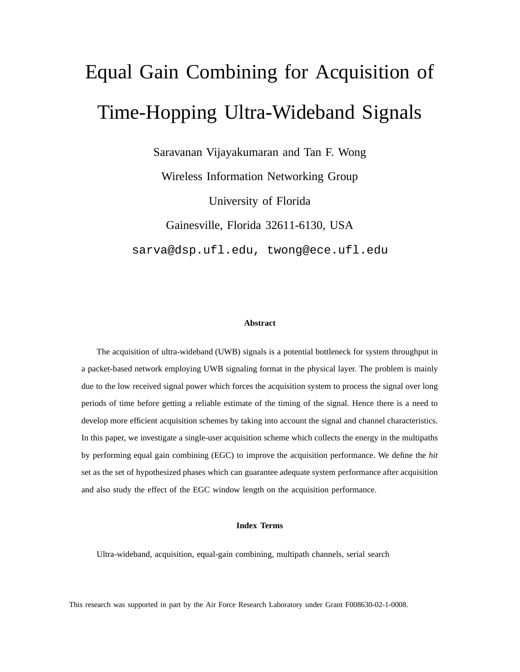# Equal Gain Combining for Acquisition of Time-Hopping Ultra-Wideband Signals

Saravanan Vijayakumaran and Tan F. Wong

Wireless Information Networking Group University of Florida Gainesville, Florida 32611-6130, USA sarva@dsp.ufl.edu, twong@ece.ufl.edu

#### **Abstract**

The acquisition of ultra-wideband (UWB) signals is a potential bottleneck for system throughput in a packet-based network employing UWB signaling format in the physical layer. The problem is mainly due to the low received signal power which forces the acquisition system to process the signal over long periods of time before getting a reliable estimate of the timing of the signal. Hence there is a need to develop more efficient acquisition schemes by taking into account the signal and channel characteristics. In this paper, we investigate a single-user acquisition scheme which collects the energy in the multipaths by performing equal gain combining (EGC) to improve the acquisition performance. We define the *hit* set as the set of hypothesized phases which can guarantee adequate system performance after acquisition and also study the effect of the EGC window length on the acquisition performance.

#### **Index Terms**

Ultra-wideband, acquisition, equal-gain combining, multipath channels, serial search

This research was supported in part by the Air Force Research Laboratory under Grant F008630-02-1-0008.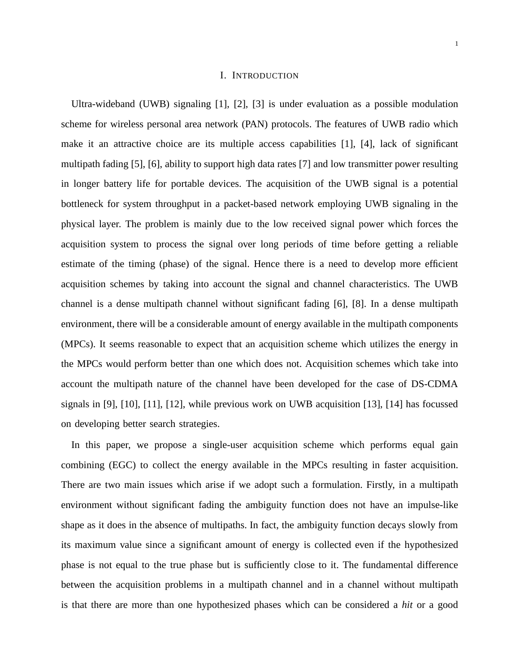#### I. INTRODUCTION

Ultra-wideband (UWB) signaling [1], [2], [3] is under evaluation as a possible modulation scheme for wireless personal area network (PAN) protocols. The features of UWB radio which make it an attractive choice are its multiple access capabilities [1], [4], lack of significant multipath fading [5], [6], ability to support high data rates [7] and low transmitter power resulting in longer battery life for portable devices. The acquisition of the UWB signal is a potential bottleneck for system throughput in a packet-based network employing UWB signaling in the physical layer. The problem is mainly due to the low received signal power which forces the acquisition system to process the signal over long periods of time before getting a reliable estimate of the timing (phase) of the signal. Hence there is a need to develop more efficient acquisition schemes by taking into account the signal and channel characteristics. The UWB channel is a dense multipath channel without significant fading [6], [8]. In a dense multipath environment, there will be a considerable amount of energy available in the multipath components (MPCs). It seems reasonable to expect that an acquisition scheme which utilizes the energy in the MPCs would perform better than one which does not. Acquisition schemes which take into account the multipath nature of the channel have been developed for the case of DS-CDMA signals in [9], [10], [11], [12], while previous work on UWB acquisition [13], [14] has focussed on developing better search strategies.

In this paper, we propose a single-user acquisition scheme which performs equal gain combining (EGC) to collect the energy available in the MPCs resulting in faster acquisition. There are two main issues which arise if we adopt such a formulation. Firstly, in a multipath environment without significant fading the ambiguity function does not have an impulse-like shape as it does in the absence of multipaths. In fact, the ambiguity function decays slowly from its maximum value since a significant amount of energy is collected even if the hypothesized phase is not equal to the true phase but is sufficiently close to it. The fundamental difference between the acquisition problems in a multipath channel and in a channel without multipath is that there are more than one hypothesized phases which can be considered a *hit* or a good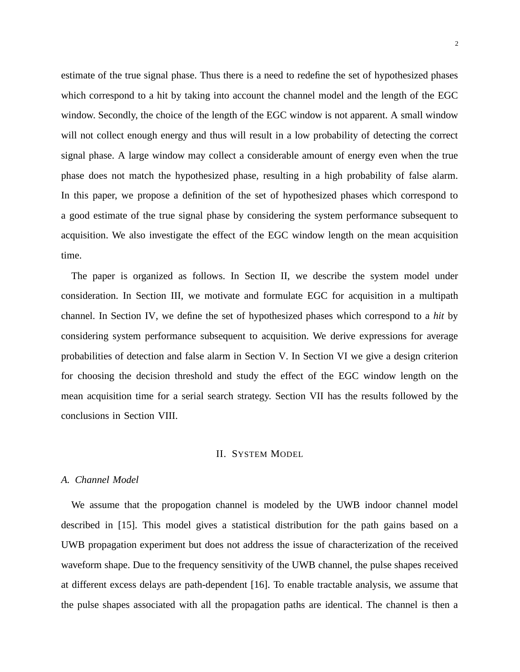estimate of the true signal phase. Thus there is a need to redefine the set of hypothesized phases which correspond to a hit by taking into account the channel model and the length of the EGC window. Secondly, the choice of the length of the EGC window is not apparent. A small window will not collect enough energy and thus will result in a low probability of detecting the correct signal phase. A large window may collect a considerable amount of energy even when the true phase does not match the hypothesized phase, resulting in a high probability of false alarm. In this paper, we propose a definition of the set of hypothesized phases which correspond to a good estimate of the true signal phase by considering the system performance subsequent to acquisition. We also investigate the effect of the EGC window length on the mean acquisition time.

The paper is organized as follows. In Section II, we describe the system model under consideration. In Section III, we motivate and formulate EGC for acquisition in a multipath channel. In Section IV, we define the set of hypothesized phases which correspond to a *hit* by considering system performance subsequent to acquisition. We derive expressions for average probabilities of detection and false alarm in Section V. In Section VI we give a design criterion for choosing the decision threshold and study the effect of the EGC window length on the mean acquisition time for a serial search strategy. Section VII has the results followed by the conclusions in Section VIII.

## II. SYSTEM MODEL

## *A. Channel Model*

We assume that the propogation channel is modeled by the UWB indoor channel model described in [15]. This model gives a statistical distribution for the path gains based on a UWB propagation experiment but does not address the issue of characterization of the received waveform shape. Due to the frequency sensitivity of the UWB channel, the pulse shapes received at different excess delays are path-dependent [16]. To enable tractable analysis, we assume that the pulse shapes associated with all the propagation paths are identical. The channel is then a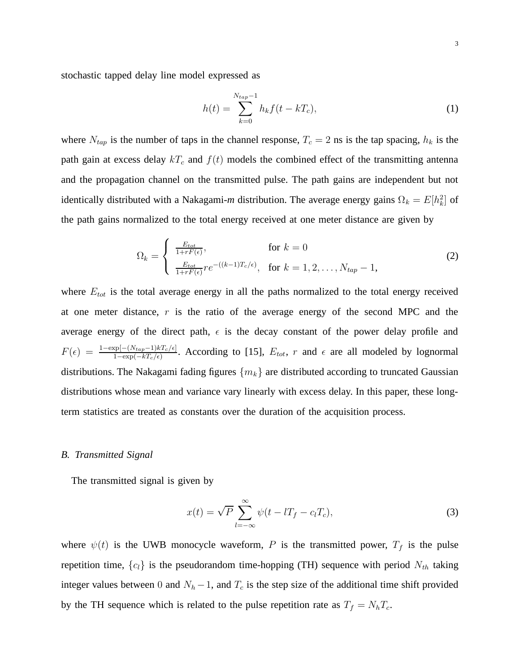stochastic tapped delay line model expressed as

$$
h(t) = \sum_{k=0}^{N_{tap}-1} h_k f(t - kT_c),
$$
\n(1)

where  $N_{tap}$  is the number of taps in the channel response,  $T_c = 2$  ns is the tap spacing,  $h_k$  is the path gain at excess delay  $kT_c$  and  $f(t)$  models the combined effect of the transmitting antenna and the propagation channel on the transmitted pulse. The path gains are independent but not identically distributed with a Nakagami-*m* distribution. The average energy gains  $\Omega_k = E[h_k^2]$  of the path gains normalized to the total energy received at one meter distance are given by

$$
\Omega_k = \begin{cases}\n\frac{E_{tot}}{1 + rF(\epsilon)}, & \text{for } k = 0 \\
\frac{E_{tot}}{1 + rF(\epsilon)} r e^{-((k-1)T_c/\epsilon)}, & \text{for } k = 1, 2, \dots, N_{tap} - 1,\n\end{cases}
$$
\n(2)

where  $E_{tot}$  is the total average energy in all the paths normalized to the total energy received at one meter distance,  $r$  is the ratio of the average energy of the second MPC and the average energy of the direct path,  $\epsilon$  is the decay constant of the power delay profile and  $F(\epsilon) = \frac{1-\exp[-(N_{tap}-1)kT_c/\epsilon]}{1-\exp(-kT_c/\epsilon)}$  $\frac{\text{op}[-(N_{tap}-1)kT_c/\epsilon]}{1-\text{exp}(-kT_c/\epsilon)}$ . According to [15],  $E_{tot}$ , r and  $\epsilon$  are all modeled by lognormal distributions. The Nakagami fading figures  ${m_k}$  are distributed according to truncated Gaussian distributions whose mean and variance vary linearly with excess delay. In this paper, these longterm statistics are treated as constants over the duration of the acquisition process.

#### *B. Transmitted Signal*

The transmitted signal is given by

$$
x(t) = \sqrt{P} \sum_{l=-\infty}^{\infty} \psi(t - lT_f - c_lT_c),
$$
\n(3)

where  $\psi(t)$  is the UWB monocycle waveform, P is the transmitted power,  $T_f$  is the pulse repetition time,  $\{c_l\}$  is the pseudorandom time-hopping (TH) sequence with period  $N_{th}$  taking integer values between 0 and  $N_h - 1$ , and  $T_c$  is the step size of the additional time shift provided by the TH sequence which is related to the pulse repetition rate as  $T_f = N_hT_c$ .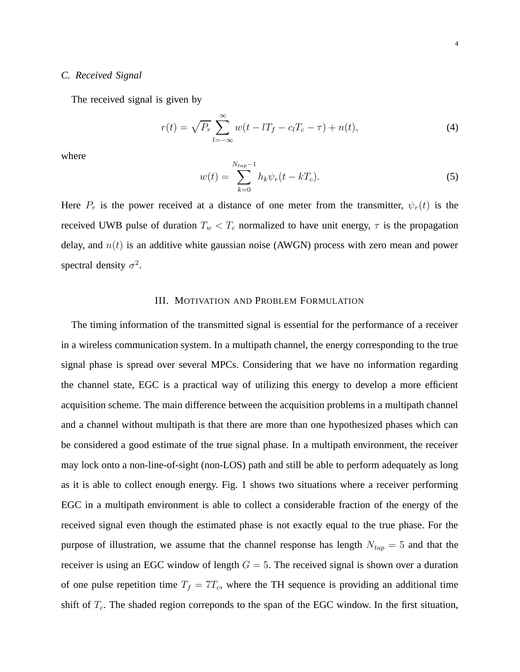### *C. Received Signal*

The received signal is given by

$$
r(t) = \sqrt{P_r} \sum_{l = -\infty}^{\infty} w(t - lT_f - c_lT_c - \tau) + n(t),
$$
 (4)

where

$$
w(t) = \sum_{k=0}^{N_{tap}-1} h_k \psi_r(t - kT_c).
$$
 (5)

Here  $P_r$  is the power received at a distance of one meter from the transmitter,  $\psi_r(t)$  is the received UWB pulse of duration  $T_w < T_c$  normalized to have unit energy,  $\tau$  is the propagation delay, and  $n(t)$  is an additive white gaussian noise (AWGN) process with zero mean and power spectral density  $\sigma^2$ .

## III. MOTIVATION AND PROBLEM FORMULATION

The timing information of the transmitted signal is essential for the performance of a receiver in a wireless communication system. In a multipath channel, the energy corresponding to the true signal phase is spread over several MPCs. Considering that we have no information regarding the channel state, EGC is a practical way of utilizing this energy to develop a more efficient acquisition scheme. The main difference between the acquisition problems in a multipath channel and a channel without multipath is that there are more than one hypothesized phases which can be considered a good estimate of the true signal phase. In a multipath environment, the receiver may lock onto a non-line-of-sight (non-LOS) path and still be able to perform adequately as long as it is able to collect enough energy. Fig. 1 shows two situations where a receiver performing EGC in a multipath environment is able to collect a considerable fraction of the energy of the received signal even though the estimated phase is not exactly equal to the true phase. For the purpose of illustration, we assume that the channel response has length  $N_{tap} = 5$  and that the receiver is using an EGC window of length  $G = 5$ . The received signal is shown over a duration of one pulse repetition time  $T_f = 7T_c$ , where the TH sequence is providing an additional time shift of  $T_c$ . The shaded region correponds to the span of the EGC window. In the first situation,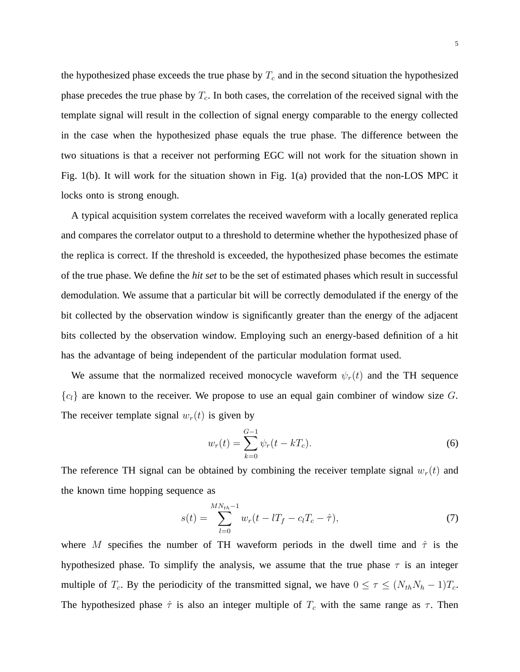the hypothesized phase exceeds the true phase by  $T_c$  and in the second situation the hypothesized phase precedes the true phase by  $T_c$ . In both cases, the correlation of the received signal with the template signal will result in the collection of signal energy comparable to the energy collected in the case when the hypothesized phase equals the true phase. The difference between the two situations is that a receiver not performing EGC will not work for the situation shown in Fig. 1(b). It will work for the situation shown in Fig. 1(a) provided that the non-LOS MPC it locks onto is strong enough.

A typical acquisition system correlates the received waveform with a locally generated replica and compares the correlator output to a threshold to determine whether the hypothesized phase of the replica is correct. If the threshold is exceeded, the hypothesized phase becomes the estimate of the true phase. We define the *hit set* to be the set of estimated phases which result in successful demodulation. We assume that a particular bit will be correctly demodulated if the energy of the bit collected by the observation window is significantly greater than the energy of the adjacent bits collected by the observation window. Employing such an energy-based definition of a hit has the advantage of being independent of the particular modulation format used.

We assume that the normalized received monocycle waveform  $\psi_r(t)$  and the TH sequence  ${c<sub>l</sub>}$  are known to the receiver. We propose to use an equal gain combiner of window size G. The receiver template signal  $w_r(t)$  is given by

$$
w_r(t) = \sum_{k=0}^{G-1} \psi_r(t - kT_c).
$$
 (6)

The reference TH signal can be obtained by combining the receiver template signal  $w_r(t)$  and the known time hopping sequence as

$$
s(t) = \sum_{l=0}^{MN_{th}-1} w_r(t - lT_f - c_lT_c - \hat{\tau}),
$$
\n(7)

where M specifies the number of TH waveform periods in the dwell time and  $\hat{\tau}$  is the hypothesized phase. To simplify the analysis, we assume that the true phase  $\tau$  is an integer multiple of  $T_c$ . By the periodicity of the transmitted signal, we have  $0 \le \tau \le (N_{th}N_h - 1)T_c$ . The hypothesized phase  $\hat{\tau}$  is also an integer multiple of  $T_c$  with the same range as  $\tau$ . Then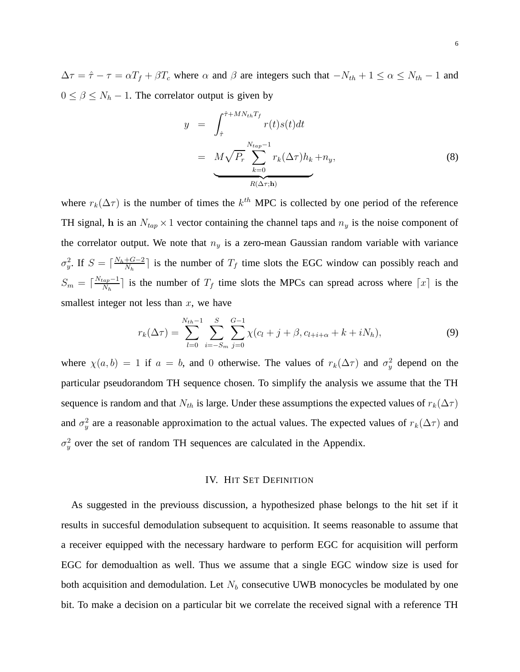$\Delta \tau = \hat{\tau} - \tau = \alpha T_f + \beta T_c$  where  $\alpha$  and  $\beta$  are integers such that  $-N_{th} + 1 \le \alpha \le N_{th} - 1$  and  $0 \le \beta \le N_h - 1$ . The correlator output is given by

$$
y = \int_{\hat{\tau}}^{\hat{\tau} + MN_{th}T_{f}} r(t)s(t)dt
$$
  

$$
= M\sqrt{P_r} \sum_{k=0}^{N_{tap}-1} r_k(\Delta \tau)h_k + n_y,
$$
 (8)  

$$
R(\Delta \tau; \mathbf{h})
$$

where  $r_k(\Delta \tau)$  is the number of times the  $k^{th}$  MPC is collected by one period of the reference TH signal, h is an  $N_{tap} \times 1$  vector containing the channel taps and  $n_y$  is the noise component of the correlator output. We note that  $n_y$  is a zero-mean Gaussian random variable with variance  $\sigma_y^2$ . If  $S = \lceil \frac{N_h + G - 2}{N_h} \rceil$  $\frac{+G-2}{N_h}$  is the number of  $T_f$  time slots the EGC window can possibly reach and  $S_m = \lceil \frac{N_{tap}-1}{N_h} \rceil$  $\frac{log_1-1}{N_h}$  is the number of  $T_f$  time slots the MPCs can spread across where  $\lceil x \rceil$  is the smallest integer not less than  $x$ , we have

$$
r_k(\Delta \tau) = \sum_{l=0}^{N_{th}-1} \sum_{i=-S_m}^{S} \sum_{j=0}^{G-1} \chi(c_l + j + \beta, c_{l+i+\alpha} + k + iN_h), \tag{9}
$$

where  $\chi(a, b) = 1$  if  $a = b$ , and 0 otherwise. The values of  $r_k(\Delta \tau)$  and  $\sigma_y^2$  depend on the particular pseudorandom TH sequence chosen. To simplify the analysis we assume that the TH sequence is random and that  $N_{th}$  is large. Under these assumptions the expected values of  $r_k(\Delta \tau)$ and  $\sigma_y^2$  are a reasonable approximation to the actual values. The expected values of  $r_k(\Delta \tau)$  and  $\sigma_y^2$  over the set of random TH sequences are calculated in the Appendix.

#### IV. HIT SET DEFINITION

As suggested in the previouss discussion, a hypothesized phase belongs to the hit set if it results in succesful demodulation subsequent to acquisition. It seems reasonable to assume that a receiver equipped with the necessary hardware to perform EGC for acquisition will perform EGC for demodualtion as well. Thus we assume that a single EGC window size is used for both acquisition and demodulation. Let  $N_b$  consecutive UWB monocycles be modulated by one bit. To make a decision on a particular bit we correlate the received signal with a reference TH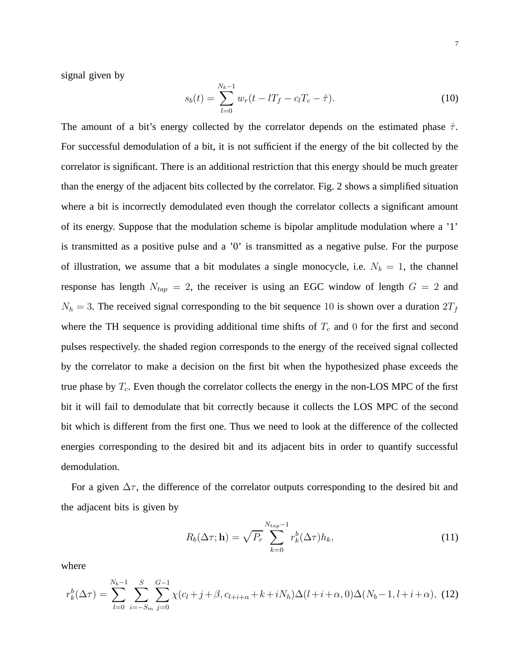signal given by

$$
s_b(t) = \sum_{l=0}^{N_b - 1} w_r(t - lT_f - c_lT_c - \hat{\tau}).
$$
\n(10)

The amount of a bit's energy collected by the correlator depends on the estimated phase  $\hat{\tau}$ . For successful demodulation of a bit, it is not sufficient if the energy of the bit collected by the correlator is significant. There is an additional restriction that this energy should be much greater than the energy of the adjacent bits collected by the correlator. Fig. 2 shows a simplified situation where a bit is incorrectly demodulated even though the correlator collects a significant amount of its energy. Suppose that the modulation scheme is bipolar amplitude modulation where a '1' is transmitted as a positive pulse and a '0' is transmitted as a negative pulse. For the purpose of illustration, we assume that a bit modulates a single monocycle, i.e.  $N_b = 1$ , the channel response has length  $N_{tap} = 2$ , the receiver is using an EGC window of length  $G = 2$  and  $N_h = 3$ . The received signal corresponding to the bit sequence 10 is shown over a duration  $2T_f$ where the TH sequence is providing additional time shifts of  $T_c$  and 0 for the first and second pulses respectively. the shaded region corresponds to the energy of the received signal collected by the correlator to make a decision on the first bit when the hypothesized phase exceeds the true phase by  $T_c$ . Even though the correlator collects the energy in the non-LOS MPC of the first bit it will fail to demodulate that bit correctly because it collects the LOS MPC of the second bit which is different from the first one. Thus we need to look at the difference of the collected energies corresponding to the desired bit and its adjacent bits in order to quantify successful demodulation.

For a given  $\Delta \tau$ , the difference of the correlator outputs corresponding to the desired bit and the adjacent bits is given by

$$
R_b(\Delta \tau; \mathbf{h}) = \sqrt{P_r} \sum_{k=0}^{N_{tap}-1} r_k^b(\Delta \tau) h_k,
$$
\n(11)

where

$$
r_k^b(\Delta \tau) = \sum_{l=0}^{N_b-1} \sum_{i=-S_m}^{S} \sum_{j=0}^{G-1} \chi(c_l + j + \beta, c_{l+i+\alpha} + k + iN_h) \Delta(l+i+\alpha, 0) \Delta(N_b-1, l+i+\alpha), \tag{12}
$$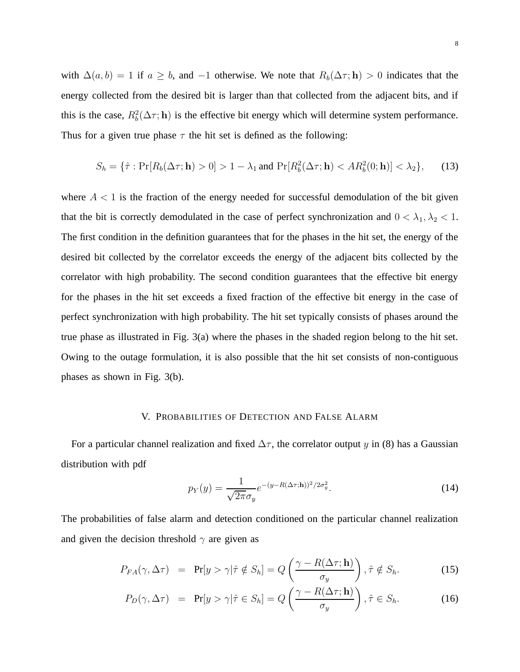with  $\Delta(a, b) = 1$  if  $a \geq b$ , and  $-1$  otherwise. We note that  $R_b(\Delta \tau; h) > 0$  indicates that the energy collected from the desired bit is larger than that collected from the adjacent bits, and if this is the case,  $R_b^2(\Delta \tau; \mathbf{h})$  is the effective bit energy which will determine system performance. Thus for a given true phase  $\tau$  the hit set is defined as the following:

$$
S_h = \{\hat{\tau} : \Pr[R_b(\Delta \tau; \mathbf{h}) > 0] > 1 - \lambda_1 \text{ and } \Pr[R_b^2(\Delta \tau; \mathbf{h}) < AR_b^2(0; \mathbf{h})] < \lambda_2\},\tag{13}
$$

where  $A < 1$  is the fraction of the energy needed for successful demodulation of the bit given that the bit is correctly demodulated in the case of perfect synchronization and  $0 < \lambda_1, \lambda_2 < 1$ . The first condition in the definition guarantees that for the phases in the hit set, the energy of the desired bit collected by the correlator exceeds the energy of the adjacent bits collected by the correlator with high probability. The second condition guarantees that the effective bit energy for the phases in the hit set exceeds a fixed fraction of the effective bit energy in the case of perfect synchronization with high probability. The hit set typically consists of phases around the true phase as illustrated in Fig. 3(a) where the phases in the shaded region belong to the hit set. Owing to the outage formulation, it is also possible that the hit set consists of non-contiguous phases as shown in Fig. 3(b).

# V. PROBABILITIES OF DETECTION AND FALSE ALARM

For a particular channel realization and fixed  $\Delta \tau$ , the correlator output y in (8) has a Gaussian distribution with pdf

$$
p_Y(y) = \frac{1}{\sqrt{2\pi}\sigma_y} e^{-(y - R(\Delta\tau; \mathbf{h}))^2/2\sigma_y^2}.
$$
\n(14)

The probabilities of false alarm and detection conditioned on the particular channel realization and given the decision threshold  $\gamma$  are given as

$$
P_{FA}(\gamma, \Delta \tau) = \Pr[y > \gamma | \hat{\tau} \notin S_h] = Q\left(\frac{\gamma - R(\Delta \tau; \mathbf{h})}{\sigma_y}\right), \hat{\tau} \notin S_h.
$$
 (15)

$$
P_D(\gamma, \Delta \tau) = \Pr[y > \gamma | \hat{\tau} \in S_h] = Q\left(\frac{\gamma - R(\Delta \tau; \mathbf{h})}{\sigma_y}\right), \hat{\tau} \in S_h.
$$
 (16)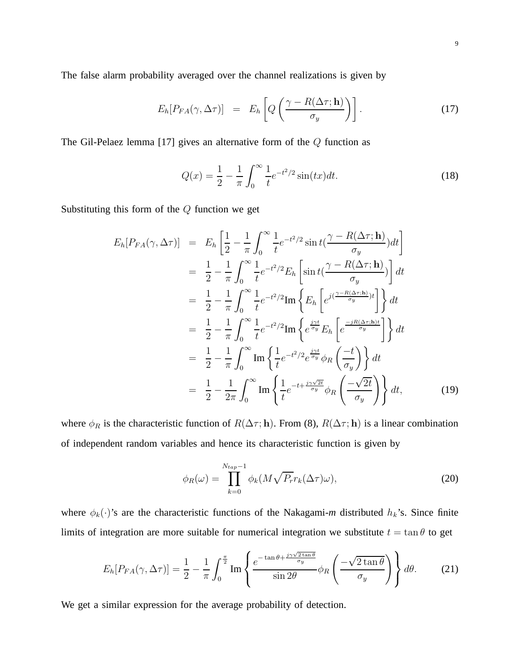9

The false alarm probability averaged over the channel realizations is given by

$$
E_h[P_{FA}(\gamma, \Delta \tau)] = E_h\left[Q\left(\frac{\gamma - R(\Delta \tau; \mathbf{h})}{\sigma_y}\right)\right]. \tag{17}
$$

The Gil-Pelaez lemma [17] gives an alternative form of the  $Q$  function as

$$
Q(x) = \frac{1}{2} - \frac{1}{\pi} \int_0^\infty \frac{1}{t} e^{-t^2/2} \sin(tx) dt.
$$
 (18)

Substituting this form of the  $Q$  function we get

$$
E_h[P_{FA}(\gamma, \Delta \tau)] = E_h \left[ \frac{1}{2} - \frac{1}{\pi} \int_0^{\infty} \frac{1}{t} e^{-t^2/2} \sin t \left( \frac{\gamma - R(\Delta \tau; \mathbf{h})}{\sigma_y} \right) dt \right]
$$
  
\n
$$
= \frac{1}{2} - \frac{1}{\pi} \int_0^{\infty} \frac{1}{t} e^{-t^2/2} E_h \left[ \sin t \left( \frac{\gamma - R(\Delta \tau; \mathbf{h})}{\sigma_y} \right) \right] dt
$$
  
\n
$$
= \frac{1}{2} - \frac{1}{\pi} \int_0^{\infty} \frac{1}{t} e^{-t^2/2} \text{Im} \left\{ E_h \left[ e^{j \left( \frac{\gamma - R(\Delta \tau; \mathbf{h})}{\sigma_y} \right)t} \right\} dt
$$
  
\n
$$
= \frac{1}{2} - \frac{1}{\pi} \int_0^{\infty} \frac{1}{t} e^{-t^2/2} \text{Im} \left\{ e^{\frac{j\gamma t}{\sigma_y}} E_h \left[ e^{\frac{-jR(\Delta \tau; \mathbf{h})t}{\sigma_y}} \right] \right\} dt
$$
  
\n
$$
= \frac{1}{2} - \frac{1}{\pi} \int_0^{\infty} \text{Im} \left\{ \frac{1}{t} e^{-t^2/2} e^{\frac{j\gamma t}{\sigma_y}} \phi_R \left( \frac{-t}{\sigma_y} \right) \right\} dt
$$
  
\n
$$
= \frac{1}{2} - \frac{1}{2\pi} \int_0^{\infty} \text{Im} \left\{ \frac{1}{t} e^{-t + \frac{j\gamma \sqrt{2t}}{\sigma_y}} \phi_R \left( \frac{-\sqrt{2t}}{\sigma_y} \right) \right\} dt, \qquad (19)
$$

where  $\phi_R$  is the characteristic function of  $R(\Delta \tau; h)$ . From (8),  $R(\Delta \tau; h)$  is a linear combination of independent random variables and hence its characteristic function is given by

$$
\phi_R(\omega) = \prod_{k=0}^{N_{tap}-1} \phi_k(M\sqrt{P_r}r_k(\Delta \tau)\omega),\tag{20}
$$

where  $\phi_k(\cdot)$ 's are the characteristic functions of the Nakagami-*m* distributed  $h_k$ 's. Since finite limits of integration are more suitable for numerical integration we substitute  $t = \tan \theta$  to get

$$
E_h[P_{FA}(\gamma, \Delta \tau)] = \frac{1}{2} - \frac{1}{\pi} \int_0^{\frac{\pi}{2}} \text{Im} \left\{ \frac{e^{-\tan \theta + \frac{j\gamma \sqrt{2 \tan \theta}}{\sigma_y}}}{\sin 2\theta} \phi_R \left( \frac{-\sqrt{2 \tan \theta}}{\sigma_y} \right) \right\} d\theta. \tag{21}
$$

We get a similar expression for the average probability of detection.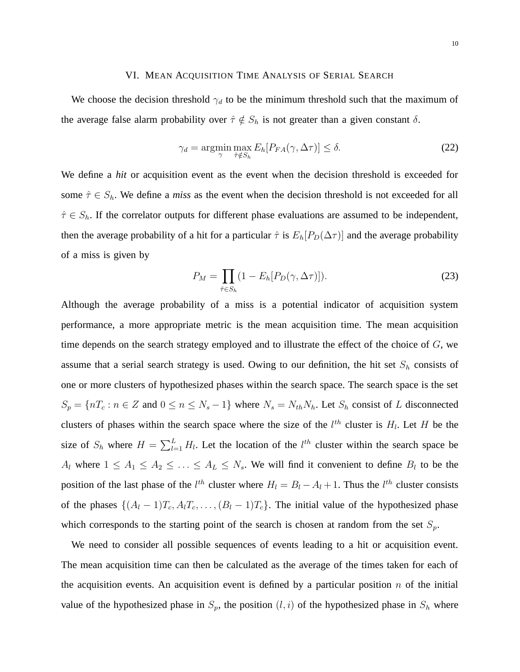#### VI. MEAN ACQUISITION TIME ANALYSIS OF SERIAL SEARCH

We choose the decision threshold  $\gamma_d$  to be the minimum threshold such that the maximum of the average false alarm probability over  $\hat{\tau} \notin S_h$  is not greater than a given constant  $\delta$ .

$$
\gamma_d = \operatorname*{argmin}_{\gamma} \max_{\hat{\tau} \notin S_h} E_h[P_{FA}(\gamma, \Delta \tau)] \le \delta. \tag{22}
$$

We define a *hit* or acquisition event as the event when the decision threshold is exceeded for some  $\hat{\tau} \in S_h$ . We define a *miss* as the event when the decision threshold is not exceeded for all  $\hat{\tau} \in S_h$ . If the correlator outputs for different phase evaluations are assumed to be independent, then the average probability of a hit for a particular  $\hat{\tau}$  is  $E_h[P_D(\Delta \tau)]$  and the average probability of a miss is given by

$$
P_M = \prod_{\hat{\tau} \in S_h} (1 - E_h[P_D(\gamma, \Delta \tau)]). \tag{23}
$$

Although the average probability of a miss is a potential indicator of acquisition system performance, a more appropriate metric is the mean acquisition time. The mean acquisition time depends on the search strategy employed and to illustrate the effect of the choice of  $G$ , we assume that a serial search strategy is used. Owing to our definition, the hit set  $S_h$  consists of one or more clusters of hypothesized phases within the search space. The search space is the set  $S_p = \{nT_c : n \in \mathbb{Z} \text{ and } 0 \leq n \leq N_s - 1\}$  where  $N_s = N_{th}N_h$ . Let  $S_h$  consist of L disconnected clusters of phases within the search space where the size of the  $l^{th}$  cluster is  $H_l$ . Let H be the size of  $S_h$  where  $H = \sum_{l=1}^L H_l$ . Let the location of the  $l^{th}$  cluster within the search space be  $A_l$  where  $1 \leq A_1 \leq A_2 \leq \ldots \leq A_L \leq N_s$ . We will find it convenient to define  $B_l$  to be the position of the last phase of the  $l^{th}$  cluster where  $H_l = B_l - A_l + 1$ . Thus the  $l^{th}$  cluster consists of the phases  $\{(A_l - 1)T_c, A_lT_c, \ldots, (B_l - 1)T_c\}$ . The initial value of the hypothesized phase which corresponds to the starting point of the search is chosen at random from the set  $S_p$ .

We need to consider all possible sequences of events leading to a hit or acquisition event. The mean acquisition time can then be calculated as the average of the times taken for each of the acquisition events. An acquisition event is defined by a particular position  $n$  of the initial value of the hypothesized phase in  $S_p$ , the position  $(l, i)$  of the hypothesized phase in  $S_h$  where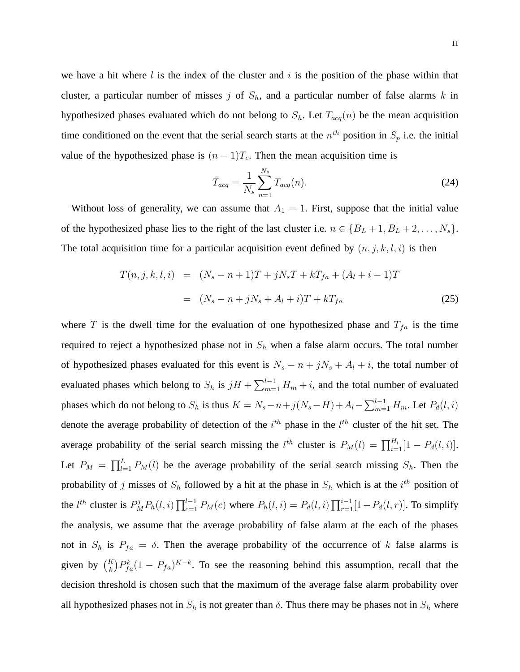we have a hit where l is the index of the cluster and i is the position of the phase within that cluster, a particular number of misses j of  $S_h$ , and a particular number of false alarms k in hypothesized phases evaluated which do not belong to  $S_h$ . Let  $T_{acq}(n)$  be the mean acquisition time conditioned on the event that the serial search starts at the  $n^{th}$  position in  $S_p$  i.e. the initial value of the hypothesized phase is  $(n - 1)T_c$ . Then the mean acquisition time is

$$
\bar{T}_{acq} = \frac{1}{N_s} \sum_{n=1}^{N_s} T_{acq}(n).
$$
\n(24)

Without loss of generality, we can assume that  $A_1 = 1$ . First, suppose that the initial value of the hypothesized phase lies to the right of the last cluster i.e.  $n \in \{B_L + 1, B_L + 2, \ldots, N_s\}$ . The total acquisition time for a particular acquisition event defined by  $(n, j, k, l, i)$  is then

$$
T(n,j,k,l,i) = (N_s - n + 1)T + jN_sT + kT_{fa} + (A_l + i - 1)T
$$
  
=  $(N_s - n + jN_s + A_l + i)T + kT_{fa}$  (25)

where T is the dwell time for the evaluation of one hypothesized phase and  $T_{fa}$  is the time required to reject a hypothesized phase not in  $S_h$  when a false alarm occurs. The total number of hypothesized phases evaluated for this event is  $N_s - n + jN_s + A_l + i$ , the total number of evaluated phases which belong to  $S_h$  is  $jH + \sum_{m=1}^{l-1} H_m + i$ , and the total number of evaluated phases which do not belong to  $S_h$  is thus  $K = N_s - n + j(N_s - H) + A_l - \sum_{m=1}^{l-1} H_m$ . Let  $P_d(l, i)$ denote the average probability of detection of the  $i^{th}$  phase in the  $l^{th}$  cluster of the hit set. The average probability of the serial search missing the  $l^{th}$  cluster is  $P_M(l) = \prod_{i=1}^{H_l} [1 - P_d(l, i)]$ . Let  $P_M = \prod_{l=1}^L P_M(l)$  be the average probability of the serial search missing  $S_h$ . Then the probability of j misses of  $S_h$  followed by a hit at the phase in  $S_h$  which is at the  $i^{th}$  position of the *l*<sup>th</sup> cluster is  $P_M^j P_h(l, i) \prod_{c=1}^{l-1} P_M(c)$  where  $P_h(l, i) = P_d(l, i) \prod_{r=1}^{i-1} [1 - P_d(l, r)]$ . To simplify the analysis, we assume that the average probability of false alarm at the each of the phases not in  $S_h$  is  $P_{fa} = \delta$ . Then the average probability of the occurrence of k false alarms is given by  $\binom{K}{k} P_{fa}^k (1 - P_{fa})^{K-k}$ . To see the reasoning behind this assumption, recall that the decision threshold is chosen such that the maximum of the average false alarm probability over all hypothesized phases not in  $S_h$  is not greater than  $\delta$ . Thus there may be phases not in  $S_h$  where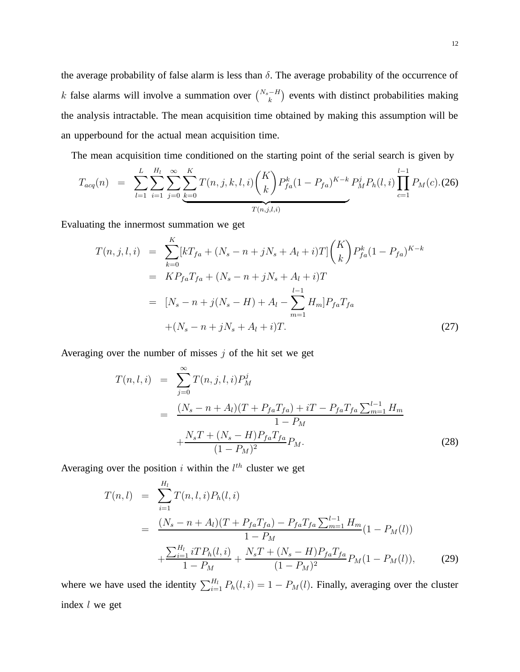the average probability of false alarm is less than  $\delta$ . The average probability of the occurrence of k false alarms will involve a summation over  $\binom{N_s-H}{k}$  events with distinct probabilities making the analysis intractable. The mean acquisition time obtained by making this assumption will be an upperbound for the actual mean acquisition time.

The mean acquisition time conditioned on the starting point of the serial search is given by

$$
T_{acq}(n) = \sum_{l=1}^{L} \sum_{i=1}^{H_l} \sum_{j=0}^{\infty} \sum_{k=0}^{K} T(n, j, k, l, i) {K \choose k} P_{fa}^{k} (1 - P_{fa})^{K-k} P_{M}^{j} P_{h}(l, i) \prod_{c=1}^{l-1} P_{M}(c) \tag{26}
$$

Evaluating the innermost summation we get

$$
T(n, j, l, i) = \sum_{k=0}^{K} [kT_{fa} + (N_s - n + jN_s + A_l + i)T] \binom{K}{k} P_{fa}^k (1 - P_{fa})^{K-k}
$$
  
\n
$$
= KP_{fa}T_{fa} + (N_s - n + jN_s + A_l + i)T
$$
  
\n
$$
= [N_s - n + j(N_s - H) + A_l - \sum_{m=1}^{l-1} H_m] P_{fa} T_{fa}
$$
  
\n
$$
+ (N_s - n + jN_s + A_l + i)T.
$$
 (27)

Averaging over the number of misses  $j$  of the hit set we get

$$
T(n, l, i) = \sum_{j=0}^{\infty} T(n, j, l, i) P_M^j
$$
  
= 
$$
\frac{(N_s - n + A_l)(T + P_{fa}T_{fa}) + iT - P_{fa}T_{fa} \sum_{m=1}^{l-1} H_m}{1 - P_M} + \frac{N_s T + (N_s - H) P_{fa}T_{fa}}{(1 - P_M)^2} P_M.
$$
 (28)

Averaging over the position i within the  $l^{th}$  cluster we get

$$
T(n,l) = \sum_{i=1}^{H_l} T(n,l,i) P_h(l,i)
$$
  
= 
$$
\frac{(N_s - n + A_l)(T + P_{fa}T_{fa}) - P_{fa}T_{fa} \sum_{m=1}^{l-1} H_m}{1 - P_M} (1 - P_M(l))
$$
  
+ 
$$
\frac{\sum_{i=1}^{H_l} iTP_h(l,i)}{1 - P_M} + \frac{N_sT + (N_s - H)P_{fa}T_{fa}}{(1 - P_M)^2} P_M(1 - P_M(l)),
$$
 (29)

where we have used the identity  $\sum_{i=1}^{H_l} P_h(l, i) = 1 - P_M(l)$ . Finally, averaging over the cluster index l we get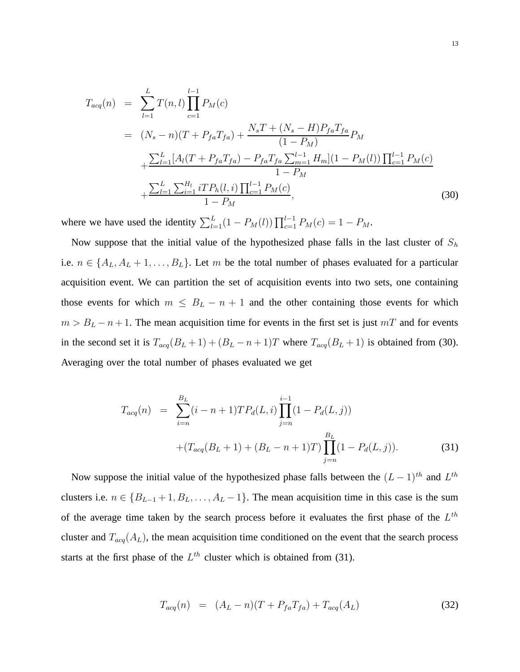$$
T_{acq}(n) = \sum_{l=1}^{L} T(n, l) \prod_{c=1}^{l-1} P_M(c)
$$
  
=  $(N_s - n)(T + P_{fa}T_{fa}) + \frac{N_s T + (N_s - H)P_{fa}T_{fa}}{(1 - P_M)}P_M$   
+  $\frac{\sum_{l=1}^{L} [A_l(T + P_{fa}T_{fa}) - P_{fa}T_{fa} \sum_{m=1}^{l-1} H_m](1 - P_M(l)) \prod_{c=1}^{l-1} P_M(c)}{1 - P_M}$   
+  $\frac{\sum_{l=1}^{L} \sum_{i=1}^{H_l} iTP_h(l, i) \prod_{c=1}^{l-1} P_M(c)}{1 - P_M},$  (30)

where we have used the identity  $\sum_{l=1}^{L} (1 - P_M(l)) \prod_{c=1}^{l-1} P_M(c) = 1 - P_M$ .

Now suppose that the initial value of the hypothesized phase falls in the last cluster of  $S_h$ i.e.  $n \in \{A_L, A_L + 1, \ldots, B_L\}$ . Let m be the total number of phases evaluated for a particular acquisition event. We can partition the set of acquisition events into two sets, one containing those events for which  $m \leq B_L - n + 1$  and the other containing those events for which  $m > B<sub>L</sub> - n + 1$ . The mean acquisition time for events in the first set is just  $mT$  and for events in the second set it is  $T_{acq}(B_L + 1) + (B_L - n + 1)T$  where  $T_{acq}(B_L + 1)$  is obtained from (30). Averaging over the total number of phases evaluated we get

$$
T_{acq}(n) = \sum_{i=n}^{B_L} (i - n + 1) T P_d(L, i) \prod_{j=n}^{i-1} (1 - P_d(L, j))
$$
  
 
$$
+ (T_{acq}(B_L + 1) + (B_L - n + 1) T) \prod_{j=n}^{B_L} (1 - P_d(L, j)).
$$
 (31)

Now suppose the initial value of the hypothesized phase falls between the  $(L-1)$ <sup>th</sup> and  $L^{th}$ clusters i.e.  $n \in \{B_{L-1}+1, B_L, \ldots, A_L-1\}$ . The mean acquisition time in this case is the sum of the average time taken by the search process before it evaluates the first phase of the  $L^{th}$ cluster and  $T_{acq}(A_L)$ , the mean acquisition time conditioned on the event that the search process starts at the first phase of the  $L^{th}$  cluster which is obtained from (31).

$$
T_{acq}(n) = (A_L - n)(T + P_{fa}T_{fa}) + T_{acq}(A_L)
$$
\n(32)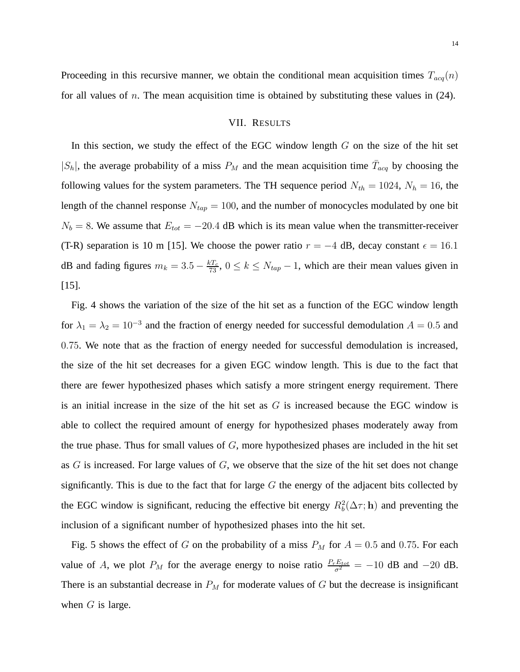Proceeding in this recursive manner, we obtain the conditional mean acquisition times  $T_{acq}(n)$ for all values of n. The mean acquisition time is obtained by substituting these values in  $(24)$ .

## VII. RESULTS

In this section, we study the effect of the EGC window length  $G$  on the size of the hit set  $|S_h|$ , the average probability of a miss  $P_M$  and the mean acquisition time  $\bar{T}_{acq}$  by choosing the following values for the system parameters. The TH sequence period  $N_{th} = 1024$ ,  $N_h = 16$ , the length of the channel response  $N_{tap} = 100$ , and the number of monocycles modulated by one bit  $N_b = 8$ . We assume that  $E_{tot} = -20.4$  dB which is its mean value when the transmitter-receiver (T-R) separation is 10 m [15]. We choose the power ratio  $r = -4$  dB, decay constant  $\epsilon = 16.1$ dB and fading figures  $m_k = 3.5 - \frac{kT_c}{73}$ ,  $0 \le k \le N_{tap} - 1$ , which are their mean values given in [15].

Fig. 4 shows the variation of the size of the hit set as a function of the EGC window length for  $\lambda_1 = \lambda_2 = 10^{-3}$  and the fraction of energy needed for successful demodulation  $A = 0.5$  and 0.75. We note that as the fraction of energy needed for successful demodulation is increased, the size of the hit set decreases for a given EGC window length. This is due to the fact that there are fewer hypothesized phases which satisfy a more stringent energy requirement. There is an initial increase in the size of the hit set as  $G$  is increased because the EGC window is able to collect the required amount of energy for hypothesized phases moderately away from the true phase. Thus for small values of  $G$ , more hypothesized phases are included in the hit set as  $G$  is increased. For large values of  $G$ , we observe that the size of the hit set does not change significantly. This is due to the fact that for large  $G$  the energy of the adjacent bits collected by the EGC window is significant, reducing the effective bit energy  $R_b^2(\Delta \tau; \mathbf{h})$  and preventing the inclusion of a significant number of hypothesized phases into the hit set.

Fig. 5 shows the effect of G on the probability of a miss  $P_M$  for  $A = 0.5$  and 0.75. For each value of A, we plot  $P_M$  for the average energy to noise ratio  $\frac{P_r E_{tot}}{\sigma^2} = -10$  dB and  $-20$  dB. There is an substantial decrease in  $P_M$  for moderate values of G but the decrease is insignificant when  $G$  is large.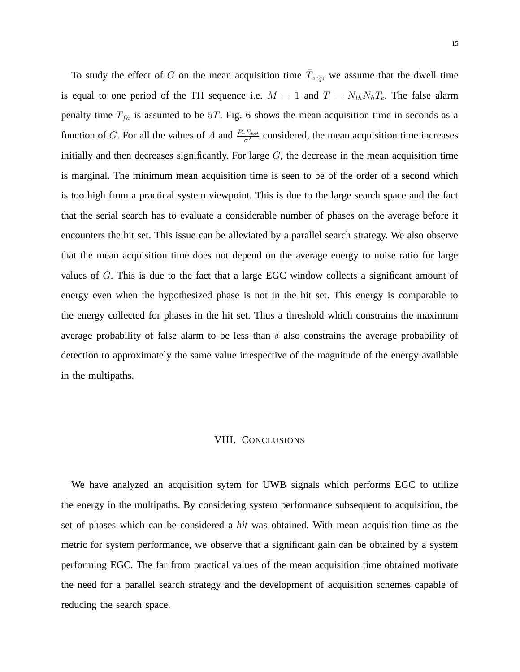To study the effect of G on the mean acquisition time  $\bar{T}_{acq}$ , we assume that the dwell time is equal to one period of the TH sequence i.e.  $M = 1$  and  $T = N_{th}N_hT_c$ . The false alarm penalty time  $T_{fa}$  is assumed to be 5T. Fig. 6 shows the mean acquisition time in seconds as a function of G. For all the values of A and  $\frac{P_rE_{tot}}{\sigma^2}$  considered, the mean acquisition time increases initially and then decreases significantly. For large  $G$ , the decrease in the mean acquisition time is marginal. The minimum mean acquisition time is seen to be of the order of a second which is too high from a practical system viewpoint. This is due to the large search space and the fact that the serial search has to evaluate a considerable number of phases on the average before it encounters the hit set. This issue can be alleviated by a parallel search strategy. We also observe that the mean acquisition time does not depend on the average energy to noise ratio for large values of G. This is due to the fact that a large EGC window collects a significant amount of energy even when the hypothesized phase is not in the hit set. This energy is comparable to the energy collected for phases in the hit set. Thus a threshold which constrains the maximum average probability of false alarm to be less than  $\delta$  also constrains the average probability of detection to approximately the same value irrespective of the magnitude of the energy available in the multipaths.

#### VIII. CONCLUSIONS

We have analyzed an acquisition sytem for UWB signals which performs EGC to utilize the energy in the multipaths. By considering system performance subsequent to acquisition, the set of phases which can be considered a *hit* was obtained. With mean acquisition time as the metric for system performance, we observe that a significant gain can be obtained by a system performing EGC. The far from practical values of the mean acquisition time obtained motivate the need for a parallel search strategy and the development of acquisition schemes capable of reducing the search space.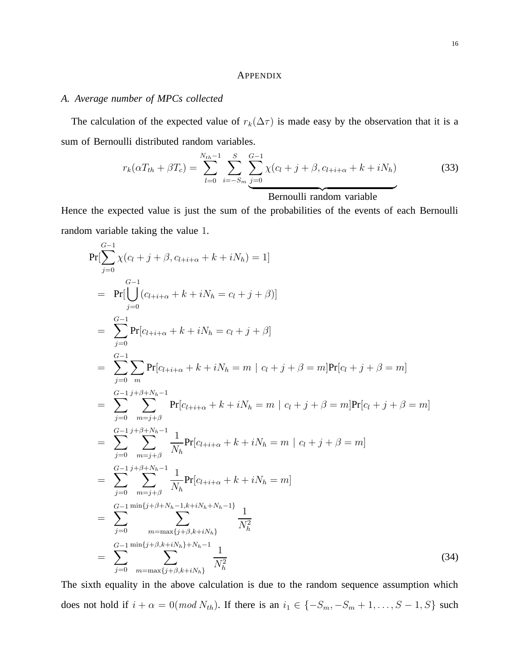## APPENDIX

## *A. Average number of MPCs collected*

The calculation of the expected value of  $r_k(\Delta \tau)$  is made easy by the observation that it is a sum of Bernoulli distributed random variables.

$$
r_k(\alpha T_{th} + \beta T_c) = \sum_{l=0}^{N_{th}-1} \sum_{i=-S_m}^{S} \sum_{j=0}^{G-1} \chi(c_l + j + \beta, c_{l+i+\alpha} + k + iN_h)
$$
(33)

Bernoulli random variable

Hence the expected value is just the sum of the probabilities of the events of each Bernoulli random variable taking the value 1.

$$
Pr[\sum_{j=0}^{G-1} \chi(c_l + j + \beta, c_{l+i+\alpha} + k + iN_h) = 1]
$$
\n
$$
= Pr[\bigcup_{j=0}^{G-1} (c_{l+i+\alpha} + k + iN_h = c_l + j + \beta)]
$$
\n
$$
= \sum_{j=0}^{G-1} Pr[c_{l+i+\alpha} + k + iN_h = c_l + j + \beta]
$$
\n
$$
= \sum_{j=0}^{G-1} \sum_{m} Pr[c_{l+i+\alpha} + k + iN_h = m \mid c_l + j + \beta = m]Pr[c_l + j + \beta = m]
$$
\n
$$
= \sum_{j=0}^{G-1} \sum_{m=j+\beta}^{j+\beta+N_h-1} Pr[c_{l+i+\alpha} + k + iN_h = m \mid c_l + j + \beta = m]Pr[c_l + j + \beta = m]
$$
\n
$$
= \sum_{j=0}^{G-1} \sum_{m=j+\beta}^{j+\beta+N_h-1} \frac{1}{N_h} Pr[c_{l+i+\alpha} + k + iN_h = m \mid c_l + j + \beta = m]
$$
\n
$$
= \sum_{j=0}^{G-1} \sum_{m=j+\beta}^{j+\beta+N_h-1} \frac{1}{N_h} Pr[c_{l+i+\alpha} + k + iN_h = m]
$$
\n
$$
= \sum_{j=0}^{G-1} \sum_{m=j+\beta}^{j+\beta+N_h-1,k+N_h+N_h-1} \frac{1}{N_h^2}
$$
\n
$$
= \sum_{j=0}^{G-1} \frac{\min\{j+\beta,N_h+ik_h\}}{m = max\{j+\beta,k+iN_h\}} \frac{1}{N_h^2}
$$
\n(34)

The sixth equality in the above calculation is due to the random sequence assumption which does not hold if  $i + \alpha = 0 \pmod{N_{th}}$ . If there is an  $i_1 \in \{-S_m, -S_m + 1, \ldots, S-1, S\}$  such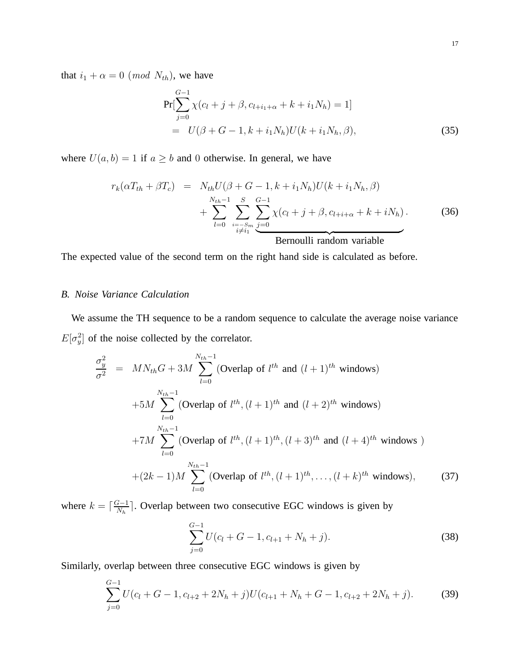that  $i_1 + \alpha = 0 \pmod{N_{th}}$ , we have

$$
Pr[\sum_{j=0}^{G-1} \chi(c_l + j + \beta, c_{l+i_1+\alpha} + k + i_1 N_h) = 1]
$$
  
=  $U(\beta + G - 1, k + i_1 N_h)U(k + i_1 N_h, \beta),$  (35)

where  $U(a, b) = 1$  if  $a \ge b$  and 0 otherwise. In general, we have

$$
r_k(\alpha T_{th} + \beta T_c) = N_{th}U(\beta + G - 1, k + i_1 N_h)U(k + i_1 N_h, \beta)
$$
  
+ 
$$
\sum_{l=0}^{N_{th}-1} \sum_{\substack{i=-S_m \\ i \neq i_1}}^{S} \sum_{j=0}^{G-1} \chi(c_l + j + \beta, c_{l+i+\alpha} + k + i N_h).
$$
 (36)

The expected value of the second term on the right hand side is calculated as before.

# *B. Noise Variance Calculation*

We assume the TH sequence to be a random sequence to calculate the average noise variance  $E[\sigma_y^2]$  of the noise collected by the correlator.

$$
\frac{\sigma_y^2}{\sigma^2} = MN_{th}G + 3M \sum_{l=0}^{N_{th}-1} (\text{Overlap of } l^{th} \text{ and } (l+1)^{th} \text{ windows})
$$
  
+5M  $\sum_{l=0}^{N_{th}-1} (\text{Overlap of } l^{th}, (l+1)^{th} \text{ and } (l+2)^{th} \text{ windows})$   
+7M  $\sum_{l=0}^{N_{th}-1} (\text{Overlap of } l^{th}, (l+1)^{th}, (l+3)^{th} \text{ and } (l+4)^{th} \text{ windows})$   
+ $(2k-1)M \sum_{l=0}^{N_{th}-1} (\text{Overlap of } l^{th}, (l+1)^{th}, \dots, (l+k)^{th} \text{ windows}),$  (37)

where  $k = \lceil \frac{G-1}{N_h} \rceil$  $\frac{d^2-1}{N_h}$ . Overlap between two consecutive EGC windows is given by

$$
\sum_{j=0}^{G-1} U(c_l + G - 1, c_{l+1} + N_h + j).
$$
 (38)

Similarly, overlap between three consecutive EGC windows is given by

$$
\sum_{j=0}^{G-1} U(c_l + G - 1, c_{l+2} + 2N_h + j)U(c_{l+1} + N_h + G - 1, c_{l+2} + 2N_h + j).
$$
 (39)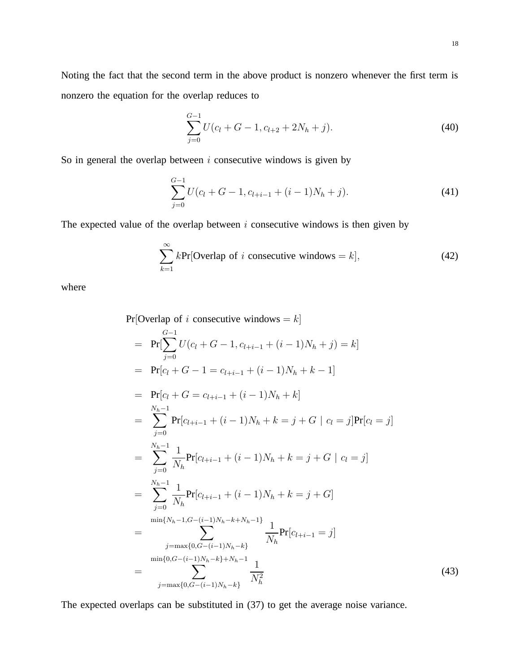Noting the fact that the second term in the above product is nonzero whenever the first term is nonzero the equation for the overlap reduces to

$$
\sum_{j=0}^{G-1} U(c_l + G - 1, c_{l+2} + 2N_h + j).
$$
\n(40)

So in general the overlap between  $i$  consecutive windows is given by

$$
\sum_{j=0}^{G-1} U(c_l + G - 1, c_{l+i-1} + (i-1)N_h + j).
$$
\n(41)

The expected value of the overlap between  $i$  consecutive windows is then given by

$$
\sum_{k=1}^{\infty} k \text{Pr}[\text{Overlap of } i \text{ consecutive windows} = k], \tag{42}
$$

where

Pr[Overlap of *i* consecutive windows = *k*]  
\n= Pr[
$$
\sum_{j=0}^{G-1} U(c_l + G - 1, c_{l+i-1} + (i - 1)N_h + j) = k
$$
]  
\n= Pr[ $c_l + G - 1 = c_{l+i-1} + (i - 1)N_h + k - 1$ ]  
\n= Pr[ $c_l + G = c_{l+i-1} + (i - 1)N_h + k$ ]  
\n=  $\sum_{j=0}^{N_h-1} Pr[c_{l+i-1} + (i - 1)N_h + k = j + G | c_l = j]Pr[c_l = j]$   
\n=  $\sum_{j=0}^{N_h-1} \frac{1}{N_h} Pr[c_{l+i-1} + (i - 1)N_h + k = j + G | c_l = j]$   
\n=  $\sum_{j=0}^{N_h-1} \frac{1}{N_h} Pr[c_{l+i-1} + (i - 1)N_h + k = j + G]$   
\n=  $\sum_{j=max\{0, G-(i-1)N_h-k+1\}}^{j=max\{0, G-(i-1)N_h-k\}} \frac{1}{N_h} Pr[c_{l+i-1} = j]$   
\n=  $\sum_{j=max\{0, G-(i-1)N_h-k\}}^{j=max\{0, G-(i-1)N_h-k\}} \frac{1}{N_h^2}$  (43)

The expected overlaps can be substituted in (37) to get the average noise variance.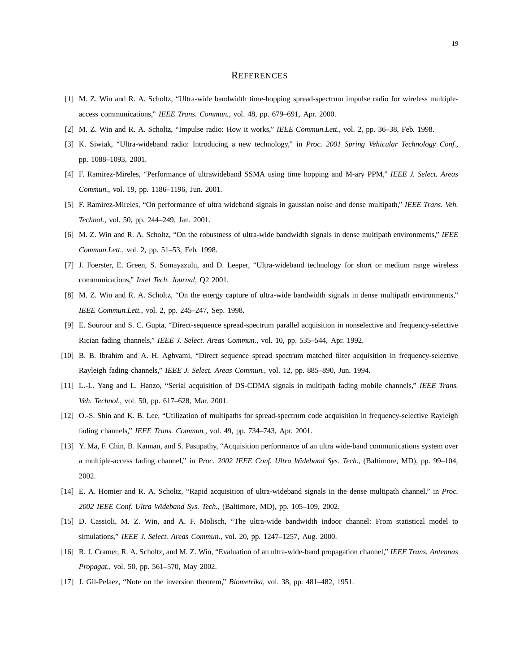#### **REFERENCES**

- [1] M. Z. Win and R. A. Scholtz, "Ultra-wide bandwidth time-hopping spread-spectrum impulse radio for wireless multipleaccess communications," *IEEE Trans. Commun.*, vol. 48, pp. 679–691, Apr. 2000.
- [2] M. Z. Win and R. A. Scholtz, "Impulse radio: How it works," *IEEE Commun.Lett.*, vol. 2, pp. 36–38, Feb. 1998.
- [3] K. Siwiak, "Ultra-wideband radio: Introducing a new technology," in *Proc. 2001 Spring Vehicular Technology Conf.*, pp. 1088–1093, 2001.
- [4] F. Ramirez-Mireles, "Performance of ultrawideband SSMA using time hopping and M-ary PPM," *IEEE J. Select. Areas Commun.*, vol. 19, pp. 1186–1196, Jun. 2001.
- [5] F. Ramirez-Mireles, "On performance of ultra wideband signals in gaussian noise and dense multipath," *IEEE Trans. Veh. Technol.*, vol. 50, pp. 244–249, Jan. 2001.
- [6] M. Z. Win and R. A. Scholtz, "On the robustness of ultra-wide bandwidth signals in dense multipath environments," *IEEE Commun.Lett.*, vol. 2, pp. 51–53, Feb. 1998.
- [7] J. Foerster, E. Green, S. Somayazulu, and D. Leeper, "Ultra-wideband technology for short or medium range wireless communications," *Intel Tech. Journal*, Q2 2001.
- [8] M. Z. Win and R. A. Scholtz, "On the energy capture of ultra-wide bandwidth signals in dense multipath environments," *IEEE Commun.Lett.*, vol. 2, pp. 245–247, Sep. 1998.
- [9] E. Sourour and S. C. Gupta, "Direct-sequence spread-spectrum parallel acquisition in nonselective and frequency-selective Rician fading channels," *IEEE J. Select. Areas Commun.*, vol. 10, pp. 535–544, Apr. 1992.
- [10] B. B. Ibrahim and A. H. Aghvami, "Direct sequence spread spectrum matched filter acquisition in frequency-selective Rayleigh fading channels," *IEEE J. Select. Areas Commun.*, vol. 12, pp. 885–890, Jun. 1994.
- [11] L.-L. Yang and L. Hanzo, "Serial acquisition of DS-CDMA signals in multipath fading mobile channels," *IEEE Trans. Veh. Technol.*, vol. 50, pp. 617–628, Mar. 2001.
- [12] O.-S. Shin and K. B. Lee, "Utilization of multipaths for spread-spectrum code acquisition in frequency-selective Rayleigh fading channels," *IEEE Trans. Commun.*, vol. 49, pp. 734–743, Apr. 2001.
- [13] Y. Ma, F. Chin, B. Kannan, and S. Pasupathy, "Acquisition performance of an ultra wide-band communications system over a multiple-access fading channel," in *Proc. 2002 IEEE Conf. Ultra Wideband Sys. Tech.*, (Baltimore, MD), pp. 99–104, 2002.
- [14] E. A. Homier and R. A. Scholtz, "Rapid acquisition of ultra-wideband signals in the dense multipath channel," in *Proc. 2002 IEEE Conf. Ultra Wideband Sys. Tech.*, (Baltimore, MD), pp. 105–109, 2002.
- [15] D. Cassioli, M. Z. Win, and A. F. Molisch, "The ultra-wide bandwidth indoor channel: From statistical model to simulations," *IEEE J. Select. Areas Commun.*, vol. 20, pp. 1247–1257, Aug. 2000.
- [16] R. J. Cramer, R. A. Scholtz, and M. Z. Win, "Evaluation of an ultra-wide-band propagation channel," *IEEE Trans. Antennas Propagat.*, vol. 50, pp. 561–570, May 2002.
- [17] J. Gil-Pelaez, "Note on the inversion theorem," *Biometrika*, vol. 38, pp. 481–482, 1951.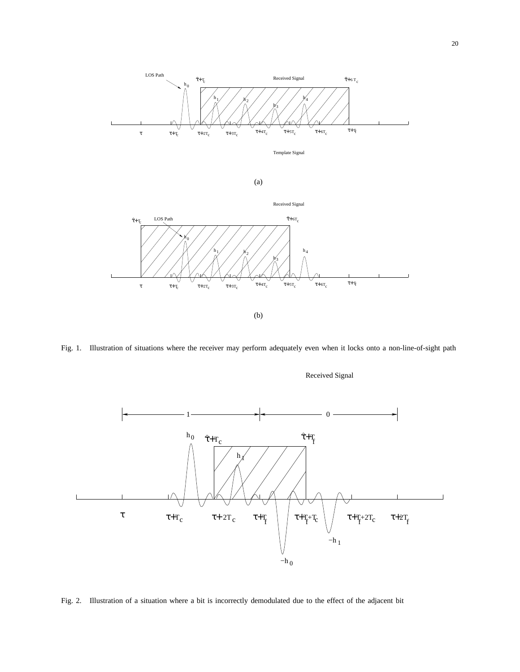

Fig. 1. Illustration of situations where the receiver may perform adequately even when it locks onto a non-line-of-sight path

Received Signal



Fig. 2. Illustration of a situation where a bit is incorrectly demodulated due to the effect of the adjacent bit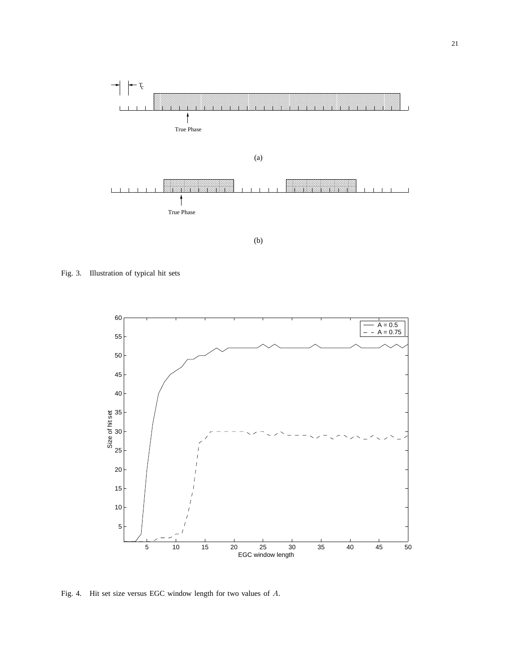

(b)

Fig. 3. Illustration of typical hit sets



Fig. 4. Hit set size versus EGC window length for two values of A.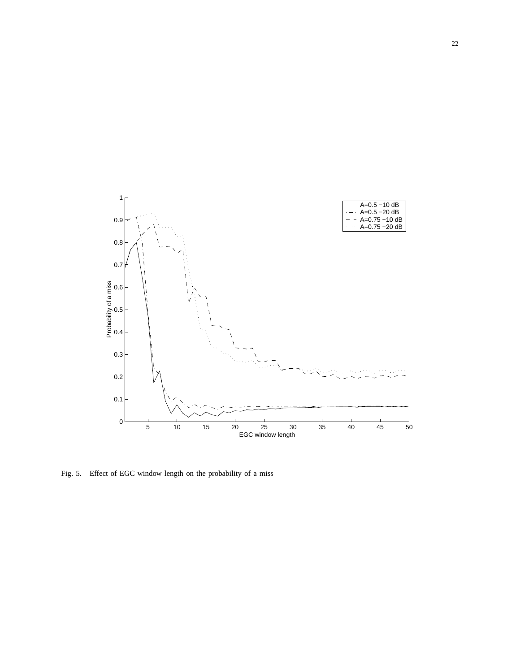

Fig. 5. Effect of EGC window length on the probability of a miss